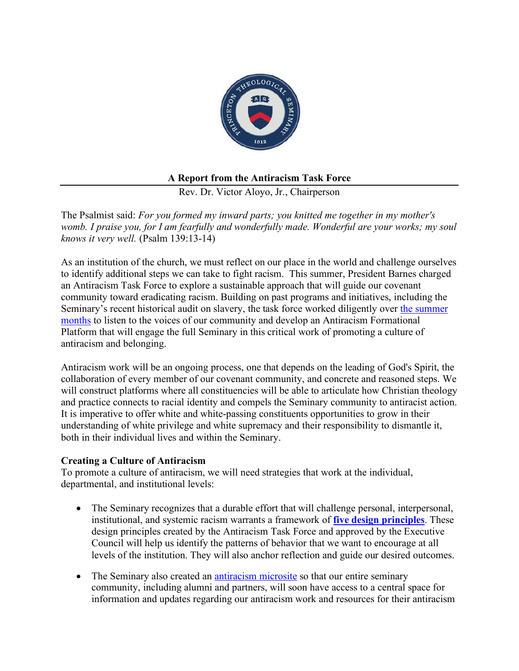

# **A Report from the Antiracism Task Force**

Rev. Dr. Victor Aloyo, Jr., Chairperson

The Psalmist said: *For you formed my inward parts; you knitted me together in my mother's womb. I praise you, for I am fearfully and wonderfully made. Wonderful are your works; my soul knows it very well.* (Psalm 139:13-14)

As an institution of the church, we must reflect on our place in the world and challenge ourselves to identify additional steps we can take to fight racism. This summer, President Barnes charged an Antiracism Task Force to explore a sustainable approach that will guide our covenant community toward eradicating racism. Building on past programs and initiatives, including the Seminary's recent historical audit on slavery, the task force worked diligently over the summer months to listen to the voices of our community and develop an Antiracism Formational Platform that will engage the full Seminary in this critical work of promoting a culture of antiracism and belonging.

Antiracism work will be an ongoing process, one that depends on the leading of God's Spirit, the collaboration of every member of our covenant community, and concrete and reasoned steps. We will construct platforms where all constituencies will be able to articulate how Christian theology and practice connects to racial identity and compels the Seminary community to antiracist action. It is imperative to offer white and white-passing constituents opportunities to grow in their understanding of white privilege and white supremacy and their responsibility to dismantle it, both in their individual lives and within the Seminary.

# **Creating a Culture of Antiracism**

To promote a culture of antiracism, we will need strategies that work at the individual, departmental, and institutional levels:

- The Seminary recognizes that a durable effort that will challenge personal, interpersonal, institutional, and systemic racism warrants a framework of **five design principles**. These design principles created by the Antiracism Task Force and approved by the Executive Council will help us identify the patterns of behavior that we want to encourage at all levels of the institution. They will also anchor reflection and guide our desired outcomes.
- The Seminary also created an antiracism microsite so that our entire seminary community, including alumni and partners, will soon have access to a central space for information and updates regarding our antiracism work and resources for their antiracism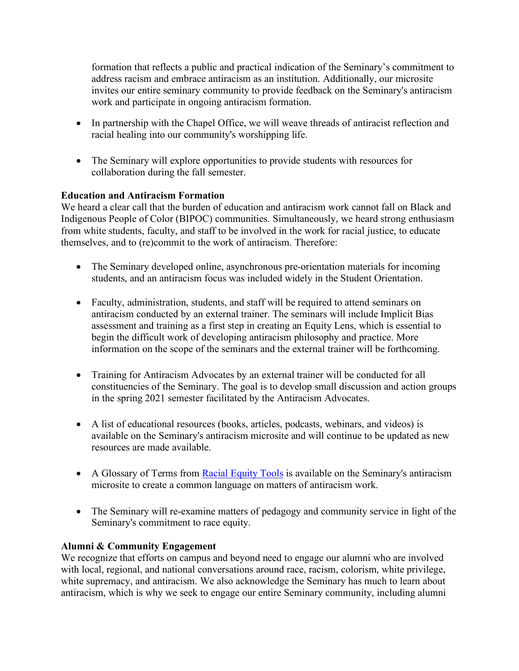formation that reflects a public and practical indication of the Seminary's commitment to address racism and embrace antiracism as an institution. Additionally, our microsite invites our entire seminary community to provide feedback on the Seminary's antiracism work and participate in ongoing antiracism formation.

- In partnership with the Chapel Office, we will weave threads of antiracist reflection and racial healing into our community's worshipping life.
- The Seminary will explore opportunities to provide students with resources for collaboration during the fall semester.

# **Education and Antiracism Formation**

We heard a clear call that the burden of education and antiracism work cannot fall on Black and Indigenous People of Color (BIPOC) communities. Simultaneously, we heard strong enthusiasm from white students, faculty, and staff to be involved in the work for racial justice, to educate themselves, and to (re)commit to the work of antiracism. Therefore:

- The Seminary developed online, asynchronous pre-orientation materials for incoming students, and an antiracism focus was included widely in the Student Orientation.
- Faculty, administration, students, and staff will be required to attend seminars on antiracism conducted by an external trainer. The seminars will include Implicit Bias assessment and training as a first step in creating an Equity Lens, which is essential to begin the difficult work of developing antiracism philosophy and practice. More information on the scope of the seminars and the external trainer will be forthcoming.
- Training for Antiracism Advocates by an external trainer will be conducted for all constituencies of the Seminary. The goal is to develop small discussion and action groups in the spring 2021 semester facilitated by the Antiracism Advocates.
- A list of educational resources (books, articles, podcasts, webinars, and videos) is available on the Seminary's antiracism microsite and will continue to be updated as new resources are made available.
- A Glossary of Terms from Racial Equity Tools is available on the Seminary's antiracism microsite to create a common language on matters of antiracism work.
- The Seminary will re-examine matters of pedagogy and community service in light of the Seminary's commitment to race equity.

# **Alumni & Community Engagement**

We recognize that efforts on campus and beyond need to engage our alumni who are involved with local, regional, and national conversations around race, racism, colorism, white privilege, white supremacy, and antiracism. We also acknowledge the Seminary has much to learn about antiracism, which is why we seek to engage our entire Seminary community, including alumni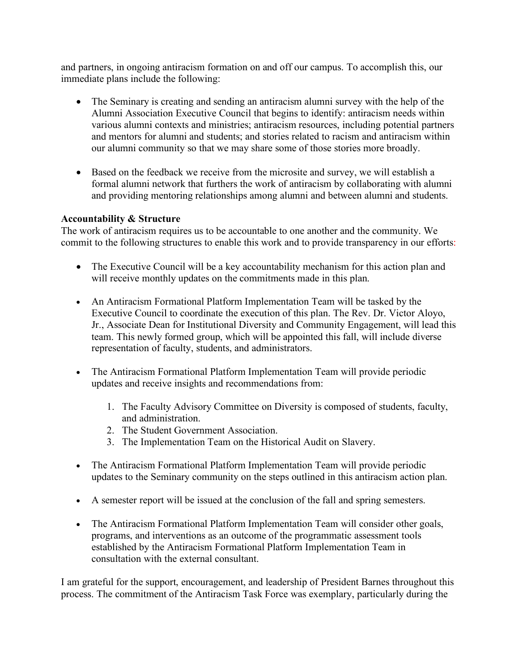and partners, in ongoing antiracism formation on and off our campus. To accomplish this, our immediate plans include the following:

- The Seminary is creating and sending an antiracism alumni survey with the help of the Alumni Association Executive Council that begins to identify: antiracism needs within various alumni contexts and ministries; antiracism resources, including potential partners and mentors for alumni and students; and stories related to racism and antiracism within our alumni community so that we may share some of those stories more broadly.
- Based on the feedback we receive from the microsite and survey, we will establish a formal alumni network that furthers the work of antiracism by collaborating with alumni and providing mentoring relationships among alumni and between alumni and students.

# **Accountability & Structure**

The work of antiracism requires us to be accountable to one another and the community. We commit to the following structures to enable this work and to provide transparency in our efforts:

- The Executive Council will be a key accountability mechanism for this action plan and will receive monthly updates on the commitments made in this plan.
- An Antiracism Formational Platform Implementation Team will be tasked by the Executive Council to coordinate the execution of this plan. The Rev. Dr. Victor Aloyo, Jr., Associate Dean for Institutional Diversity and Community Engagement, will lead this team. This newly formed group, which will be appointed this fall, will include diverse representation of faculty, students, and administrators.
- The Antiracism Formational Platform Implementation Team will provide periodic updates and receive insights and recommendations from:
	- 1. The Faculty Advisory Committee on Diversity is composed of students, faculty, and administration.
	- 2. The Student Government Association.
	- 3. The Implementation Team on the Historical Audit on Slavery.
- The Antiracism Formational Platform Implementation Team will provide periodic updates to the Seminary community on the steps outlined in this antiracism action plan.
- A semester report will be issued at the conclusion of the fall and spring semesters.
- The Antiracism Formational Platform Implementation Team will consider other goals, programs, and interventions as an outcome of the programmatic assessment tools established by the Antiracism Formational Platform Implementation Team in consultation with the external consultant.

I am grateful for the support, encouragement, and leadership of President Barnes throughout this process. The commitment of the Antiracism Task Force was exemplary, particularly during the